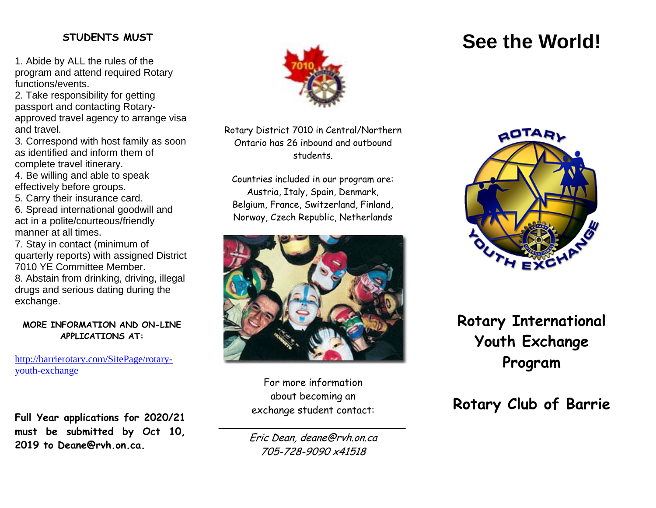#### **STUDENTS MUST**

1. Abide by ALL the rules of the program and attend required Rotary functions/events.

2. Take responsibility for getting passport and contacting Rotaryapproved travel agency to arrange visa and travel.

3. Correspond with host family as soon as identified and inform them of complete travel itinerary.

4. Be willing and able to speak effectively before groups.

5. Carry their insurance card.

6. Spread international goodwill and act in a polite/courteous/friendly manner at all times.

7. Stay in contact (minimum of quarterly reports) with assigned District 7010 YE Committee Member. 8. Abstain from drinking, driving, illegal drugs and serious dating during the exchange.

#### **MORE INFORMATION AND ON-LINE APPLICATIONS AT:**

http://barrierotary.com/SitePage/rotaryyouth-exchange

**Full Year applications for 2020/21 must be submitted by Oct 10, 2019 to Deane@rvh.on.ca.**



Rotary District 7010 in Central/Northern Ontario has 26 inbound and outbound students.

Countries included in our program are: Austria, Italy, Spain, Denmark, Belgium, France, Switzerland, Finland, Norway, Czech Republic, Netherlands



For more information about becoming an exchange student contact:

\_\_\_\_\_\_\_\_\_\_\_\_\_\_\_\_\_\_\_\_\_\_\_\_\_\_\_\_\_\_ Eric Dean, deane@rvh.on.ca 705-728-9090 x41518



## **Rotary International Youth Exchange Program**

## **Rotary Club of Barrie**

# **See the World!**